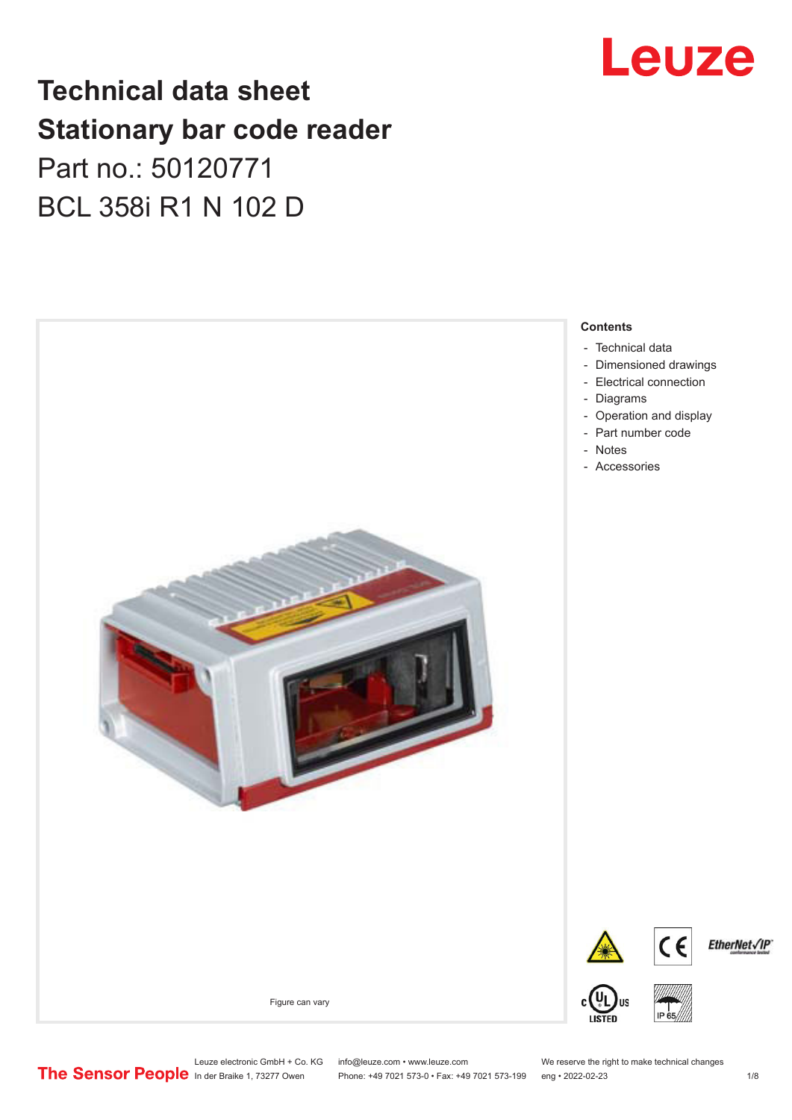## Leuze

## **Technical data sheet Stationary bar code reader** Part no.: 50120771 BCL 358i R1 N 102 D

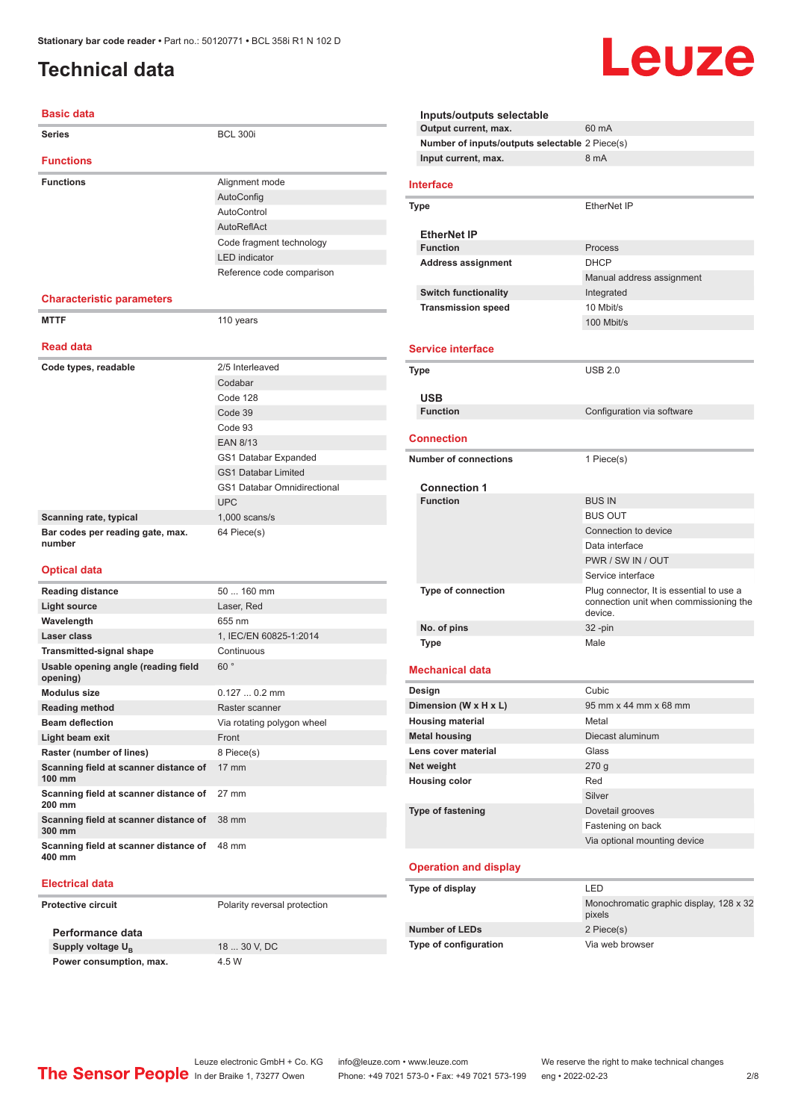### <span id="page-1-0"></span>**Technical data**

#### **Basic data**

| Dasiy yata                                                        |                                                                                                                                                                                           |  |
|-------------------------------------------------------------------|-------------------------------------------------------------------------------------------------------------------------------------------------------------------------------------------|--|
| <b>Series</b>                                                     | <b>BCL 300i</b>                                                                                                                                                                           |  |
| <b>Functions</b>                                                  |                                                                                                                                                                                           |  |
| <b>Functions</b>                                                  | Alignment mode<br>AutoConfig<br>AutoControl<br>AutoReflAct<br>Code fragment technology<br><b>LED</b> indicator<br>Reference code comparison                                               |  |
| <b>Characteristic parameters</b>                                  |                                                                                                                                                                                           |  |
| <b>MTTF</b>                                                       | 110 years                                                                                                                                                                                 |  |
| <b>Read data</b>                                                  |                                                                                                                                                                                           |  |
| Code types, readable                                              | 2/5 Interleaved<br>Codabar<br>Code 128<br>Code 39<br>Code 93<br><b>EAN 8/13</b><br>GS1 Databar Expanded<br><b>GS1 Databar Limited</b><br><b>GS1 Databar Omnidirectional</b><br><b>UPC</b> |  |
| Scanning rate, typical                                            | $1,000$ scans/s                                                                                                                                                                           |  |
| Bar codes per reading gate, max.<br>number<br><b>Optical data</b> | 64 Piece(s)                                                                                                                                                                               |  |
| <b>Reading distance</b>                                           | 50  160 mm                                                                                                                                                                                |  |
| <b>Light source</b>                                               | Laser, Red                                                                                                                                                                                |  |
| Wavelength                                                        | 655 nm                                                                                                                                                                                    |  |
| Laser class                                                       | 1, IEC/EN 60825-1:2014                                                                                                                                                                    |  |
| <b>Transmitted-signal shape</b>                                   | Continuous                                                                                                                                                                                |  |
| Usable opening angle (reading field<br>opening)                   | 60°                                                                                                                                                                                       |  |
| <b>Modulus size</b>                                               | $0.1270.2$ mm                                                                                                                                                                             |  |
| <b>Reading method</b>                                             | Raster scanner                                                                                                                                                                            |  |
| <b>Beam deflection</b>                                            | Via rotating polygon wheel                                                                                                                                                                |  |
| Light beam exit                                                   | Front                                                                                                                                                                                     |  |
| Raster (number of lines)                                          | 8 Piece(s)                                                                                                                                                                                |  |
| Scanning field at scanner distance of<br>100 mm                   | 17 mm                                                                                                                                                                                     |  |
| Scanning field at scanner distance of<br>200 mm                   | 27 mm                                                                                                                                                                                     |  |
| Scanning field at scanner distance of<br>300 mm                   | 38 mm                                                                                                                                                                                     |  |

#### **Electrical data**

**400 mm**

**Protective circuit** Polarity reversal protection

**Performance data Supply voltage U<sub>B</sub> Power consumption, max.** 4.5 W

**Scanning field at scanner distance of**  48 mm

18 ... 30 V, DC

| Inputs/outputs selectable                      |                                                                                               |  |  |
|------------------------------------------------|-----------------------------------------------------------------------------------------------|--|--|
| Output current, max.                           | 60 mA                                                                                         |  |  |
| Number of inputs/outputs selectable 2 Piece(s) | 8 mA                                                                                          |  |  |
| Input current, max.                            |                                                                                               |  |  |
| <b>Interface</b>                               |                                                                                               |  |  |
| Type                                           | EtherNet IP                                                                                   |  |  |
| <b>EtherNet IP</b>                             |                                                                                               |  |  |
| <b>Function</b>                                | Process                                                                                       |  |  |
| <b>Address assignment</b>                      | <b>DHCP</b>                                                                                   |  |  |
|                                                | Manual address assignment                                                                     |  |  |
| <b>Switch functionality</b>                    | Integrated                                                                                    |  |  |
| <b>Transmission speed</b>                      | 10 Mbit/s                                                                                     |  |  |
|                                                | 100 Mbit/s                                                                                    |  |  |
| <b>Service interface</b>                       |                                                                                               |  |  |
| Type                                           | <b>USB 2.0</b>                                                                                |  |  |
|                                                |                                                                                               |  |  |
| USB                                            |                                                                                               |  |  |
| <b>Function</b>                                | Configuration via software                                                                    |  |  |
| <b>Connection</b>                              |                                                                                               |  |  |
|                                                |                                                                                               |  |  |
| <b>Number of connections</b>                   | 1 Piece(s)                                                                                    |  |  |
| <b>Connection 1</b>                            |                                                                                               |  |  |
| <b>Function</b>                                | <b>BUS IN</b>                                                                                 |  |  |
|                                                | <b>BUS OUT</b>                                                                                |  |  |
|                                                | Connection to device                                                                          |  |  |
|                                                | Data interface                                                                                |  |  |
|                                                | PWR / SW IN / OUT                                                                             |  |  |
|                                                | Service interface                                                                             |  |  |
| <b>Type of connection</b>                      | Plug connector, It is essential to use a<br>connection unit when commissioning the<br>device. |  |  |
| No. of pins                                    | $32 - pin$                                                                                    |  |  |
| Type                                           | Male                                                                                          |  |  |
|                                                |                                                                                               |  |  |
| <b>Mechanical data</b>                         |                                                                                               |  |  |
| Design                                         | Cubic                                                                                         |  |  |
| Dimension (W x H x L)                          | 95 mm x 44 mm x 68 mm                                                                         |  |  |
| <b>Housing material</b>                        | Metal                                                                                         |  |  |
| <b>Metal housing</b>                           | Diecast aluminum                                                                              |  |  |
| Lens cover material                            | Glass                                                                                         |  |  |
| Net weight                                     | 270g                                                                                          |  |  |
| <b>Housing color</b>                           | Red                                                                                           |  |  |
| Type of fastening                              | Silver                                                                                        |  |  |
|                                                | Dovetail grooves<br>Fastening on back                                                         |  |  |
|                                                | Via optional mounting device                                                                  |  |  |
|                                                |                                                                                               |  |  |
| <b>Operation and display</b>                   |                                                                                               |  |  |
| Type of display                                | LED                                                                                           |  |  |
|                                                | Monochromatic graphic display, 128 x 32                                                       |  |  |
|                                                | pixels                                                                                        |  |  |
| <b>Number of LEDs</b>                          | 2 Piece(s)                                                                                    |  |  |
| Type of configuration                          | Via web browser                                                                               |  |  |
|                                                |                                                                                               |  |  |

Leuze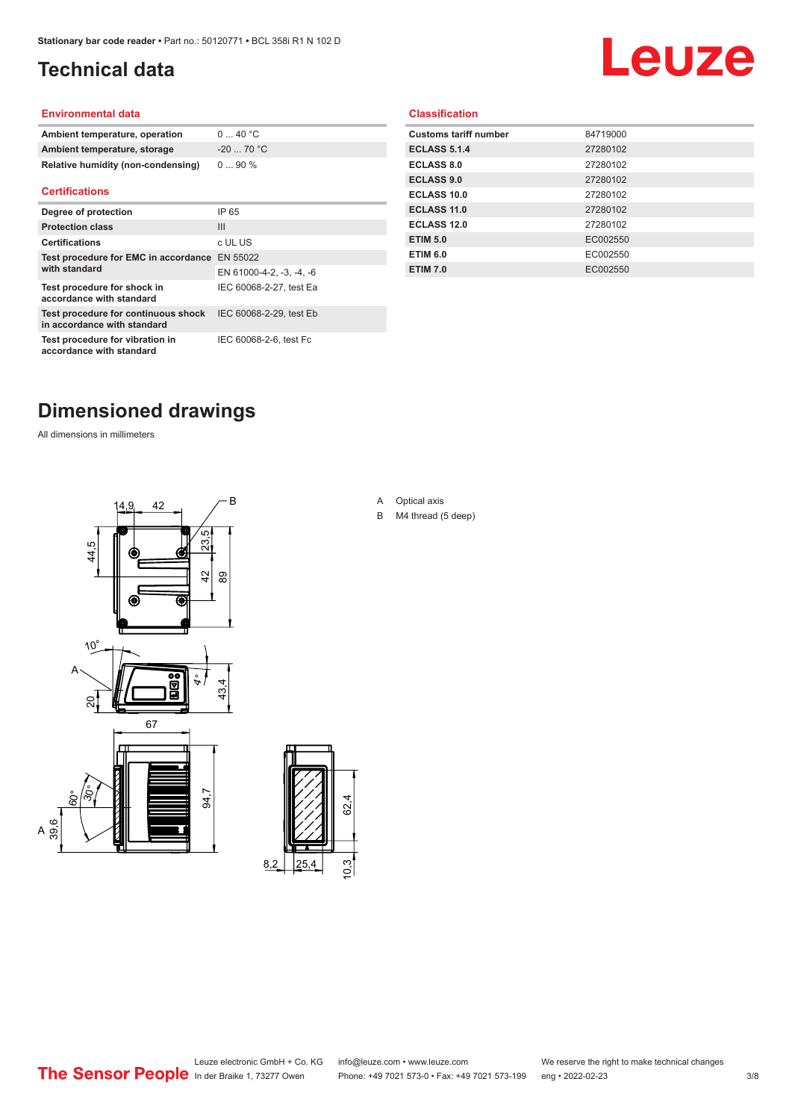### <span id="page-2-0"></span>**Technical data**

# Leuze

#### **Environmental data**

| Ambient temperature, operation     | $0 \dots 40$ °C |
|------------------------------------|-----------------|
| Ambient temperature, storage       | $-2070 °C$      |
| Relative humidity (non-condensing) | $090\%$         |

#### **Certifications**

| Degree of protection                                               | IP 65                    |
|--------------------------------------------------------------------|--------------------------|
| <b>Protection class</b>                                            | $\mathbf{III}$           |
| <b>Certifications</b>                                              | c UL US                  |
| Test procedure for EMC in accordance EN 55022                      |                          |
| with standard                                                      | EN 61000-4-2, -3, -4, -6 |
| Test procedure for shock in<br>accordance with standard            | IEC 60068-2-27, test Ea  |
| Test procedure for continuous shock<br>in accordance with standard | IEC 60068-2-29, test Eb  |
| Test procedure for vibration in<br>accordance with standard        | IEC 60068-2-6, test Fc   |

#### **Classification**

| <b>Customs tariff number</b> | 84719000 |
|------------------------------|----------|
| <b>ECLASS 5.1.4</b>          | 27280102 |
| <b>ECLASS 8.0</b>            | 27280102 |
| <b>ECLASS 9.0</b>            | 27280102 |
| ECLASS 10.0                  | 27280102 |
| <b>ECLASS 11.0</b>           | 27280102 |
| ECLASS 12.0                  | 27280102 |
| <b>ETIM 5.0</b>              | EC002550 |
| <b>ETIM 6.0</b>              | EC002550 |
| <b>ETIM 7.0</b>              | EC002550 |
|                              |          |

### **Dimensioned drawings**

All dimensions in millimeters





A Optical axis

B M4 thread (5 deep)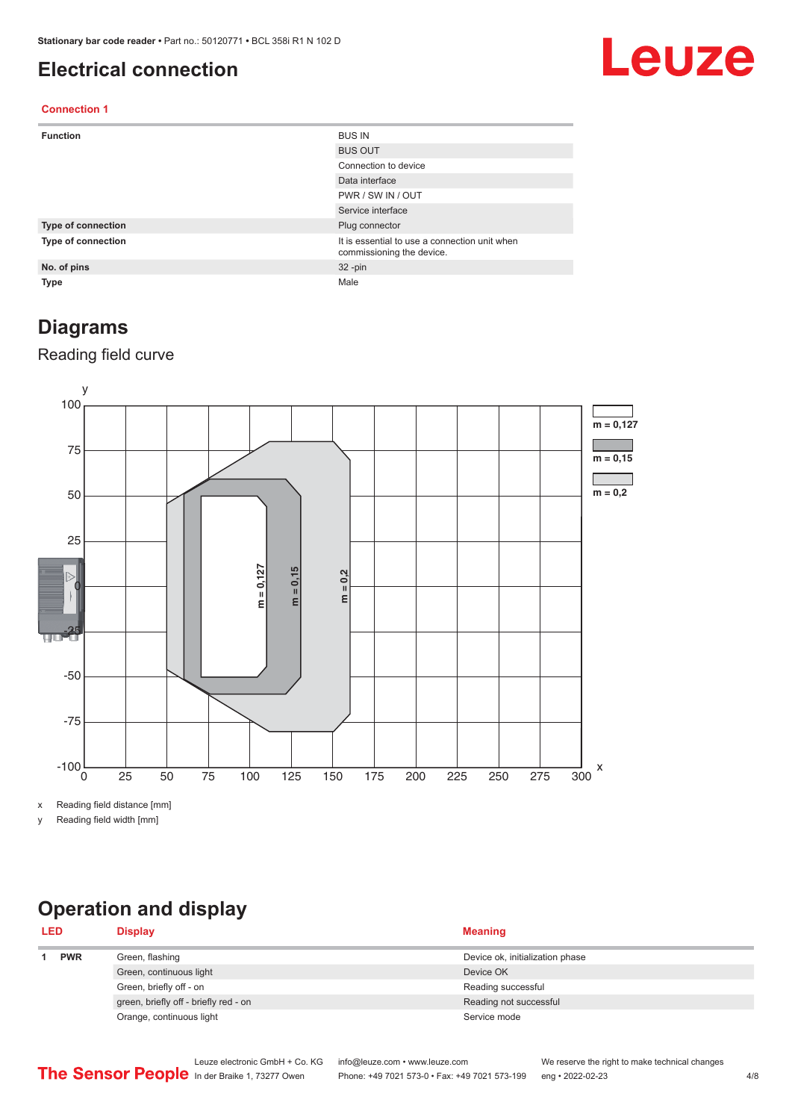#### <span id="page-3-0"></span>**Electrical connection**

## Leuze

#### **Connection 1**

| <b>Function</b>    | <b>BUS IN</b>                                                              |
|--------------------|----------------------------------------------------------------------------|
|                    | <b>BUS OUT</b>                                                             |
|                    | Connection to device                                                       |
|                    | Data interface                                                             |
|                    | PWR / SW IN / OUT                                                          |
|                    | Service interface                                                          |
| Type of connection | Plug connector                                                             |
| Type of connection | It is essential to use a connection unit when<br>commissioning the device. |
| No. of pins        | $32 - pin$                                                                 |
| <b>Type</b>        | Male                                                                       |

#### **Diagrams**

#### Reading field curve



x Reading field distance [mm]

y Reading field width [mm]

## **Operation and display**

| <b>LED</b> |  | <b>Display</b>                        | <b>Meaning</b>                  |
|------------|--|---------------------------------------|---------------------------------|
| <b>PWR</b> |  | Green, flashing                       | Device ok, initialization phase |
|            |  | Green, continuous light               | Device OK                       |
|            |  | Green, briefly off - on               | Reading successful              |
|            |  | green, briefly off - briefly red - on | Reading not successful          |
|            |  | Orange, continuous light              | Service mode                    |
|            |  |                                       |                                 |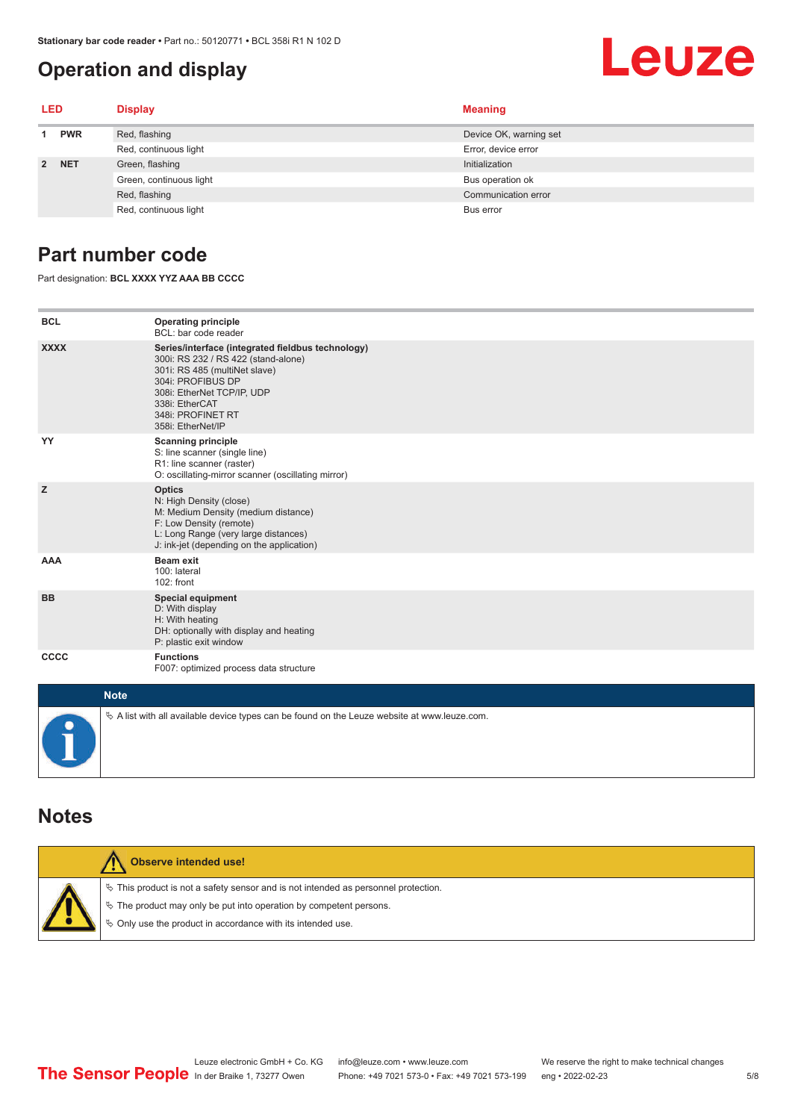#### **Operation and display**

#### <span id="page-4-0"></span>Leuze **LED Display Meaning 1 PWR** Red, flashing **Device OK, warning set** Device OK, warning set Red, continuous light Error, device error **2 NET** Green, flashing **Initialization** Initialization Green, continuous light Bus operation of Bus operation of Bus operation of Bus operation of

#### **Part number code**

Part designation: **BCL XXXX YYZ AAA BB CCCC**

| <b>BCL</b>  | <b>Operating principle</b><br>BCL: bar code reader                                                                                                                                                                                       |
|-------------|------------------------------------------------------------------------------------------------------------------------------------------------------------------------------------------------------------------------------------------|
| <b>XXXX</b> | Series/interface (integrated fieldbus technology)<br>300i: RS 232 / RS 422 (stand-alone)<br>301i: RS 485 (multiNet slave)<br>304i: PROFIBUS DP<br>308i: EtherNet TCP/IP, UDP<br>338i: EtherCAT<br>348i: PROFINET RT<br>358i: EtherNet/IP |
| YY          | <b>Scanning principle</b><br>S: line scanner (single line)<br>R1: line scanner (raster)<br>O: oscillating-mirror scanner (oscillating mirror)                                                                                            |
| z           | <b>Optics</b><br>N: High Density (close)<br>M: Medium Density (medium distance)<br>F: Low Density (remote)<br>L: Long Range (very large distances)<br>J: ink-jet (depending on the application)                                          |
| <b>AAA</b>  | <b>Beam exit</b><br>100: lateral<br>102: front                                                                                                                                                                                           |
| <b>BB</b>   | <b>Special equipment</b><br>D: With display<br>H: With heating<br>DH: optionally with display and heating<br>P: plastic exit window                                                                                                      |
| <b>CCCC</b> | <b>Functions</b><br>F007: optimized process data structure                                                                                                                                                                               |
| $M = 4.4$   |                                                                                                                                                                                                                                          |

Red, flashing Communication error communication error communication error communication error

Red, continuous light Bus error

| <b>Note</b>                                                                                  |
|----------------------------------------------------------------------------------------------|
| ∜ A list with all available device types can be found on the Leuze website at www.leuze.com. |

#### **Notes**

| Observe intended use!                                                                                                                                                                                                      |
|----------------------------------------------------------------------------------------------------------------------------------------------------------------------------------------------------------------------------|
| $\%$ This product is not a safety sensor and is not intended as personnel protection.<br>↓ The product may only be put into operation by competent persons.<br>♦ Only use the product in accordance with its intended use. |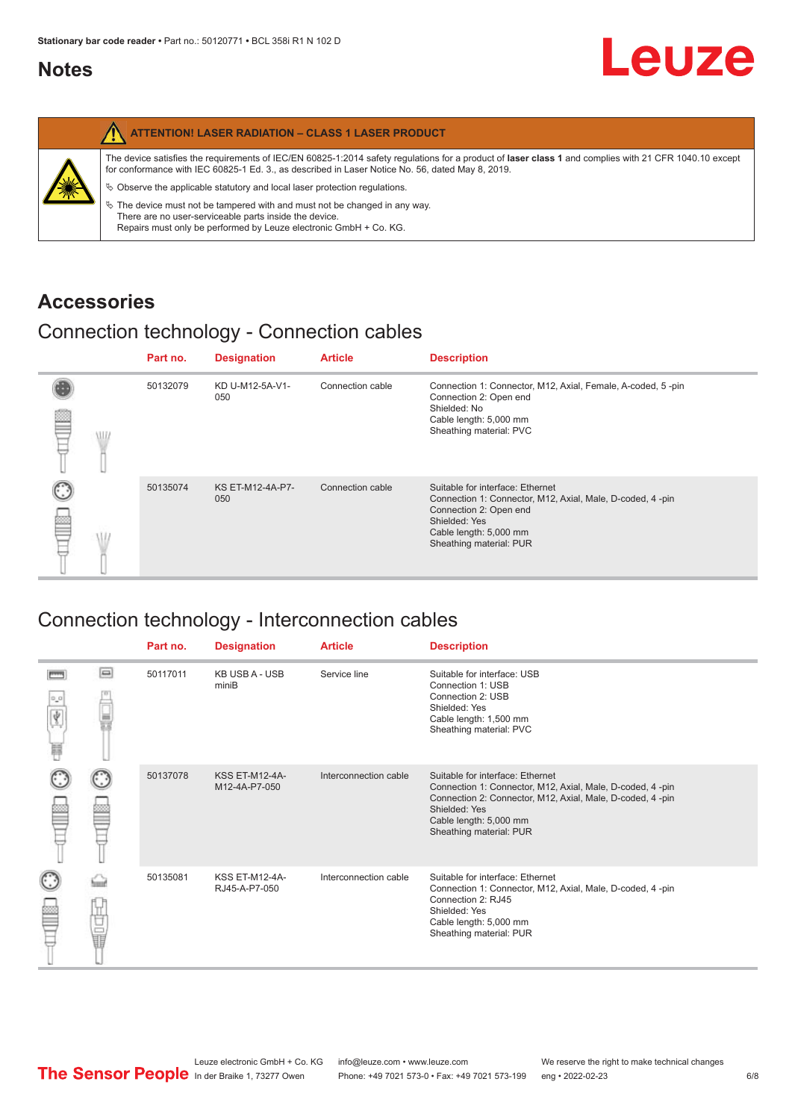#### <span id="page-5-0"></span>**Notes**

|   | <b>ATTENTION! LASER RADIATION - CLASS 1 LASER PRODUCT</b>                                                                                                                                                                                                  |
|---|------------------------------------------------------------------------------------------------------------------------------------------------------------------------------------------------------------------------------------------------------------|
|   | The device satisfies the requirements of IEC/EN 60825-1:2014 safety regulations for a product of laser class 1 and complies with 21 CFR 1040.10 except<br>for conformance with IEC 60825-1 Ed. 3., as described in Laser Notice No. 56, dated May 8, 2019. |
| 纂 | $\&$ Observe the applicable statutory and local laser protection regulations.                                                                                                                                                                              |
|   | $\%$ The device must not be tampered with and must not be changed in any way.<br>There are no user-serviceable parts inside the device.<br>Repairs must only be performed by Leuze electronic GmbH + Co. KG.                                               |

#### **Accessories**

#### Connection technology - Connection cables

|   |   | Part no. | <b>Designation</b>             | <b>Article</b>   | <b>Description</b>                                                                                                                                                                            |
|---|---|----------|--------------------------------|------------------|-----------------------------------------------------------------------------------------------------------------------------------------------------------------------------------------------|
| ≝ | W | 50132079 | KD U-M12-5A-V1-<br>050         | Connection cable | Connection 1: Connector, M12, Axial, Female, A-coded, 5-pin<br>Connection 2: Open end<br>Shielded: No<br>Cable length: 5,000 mm<br>Sheathing material: PVC                                    |
|   |   | 50135074 | <b>KS ET-M12-4A-P7-</b><br>050 | Connection cable | Suitable for interface: Ethernet<br>Connection 1: Connector, M12, Axial, Male, D-coded, 4-pin<br>Connection 2: Open end<br>Shielded: Yes<br>Cable length: 5,000 mm<br>Sheathing material: PUR |

### Connection technology - Interconnection cables

|   |        | Part no. | <b>Designation</b>                     | <b>Article</b>        | <b>Description</b>                                                                                                                                                                                                               |
|---|--------|----------|----------------------------------------|-----------------------|----------------------------------------------------------------------------------------------------------------------------------------------------------------------------------------------------------------------------------|
| ₩ | e      | 50117011 | <b>KB USB A - USB</b><br>miniB         | Service line          | Suitable for interface: USB<br>Connection 1: USB<br>Connection 2: USB<br>Shielded: Yes<br>Cable length: 1,500 mm<br>Sheathing material: PVC                                                                                      |
|   |        | 50137078 | <b>KSS ET-M12-4A-</b><br>M12-4A-P7-050 | Interconnection cable | Suitable for interface: Ethernet<br>Connection 1: Connector, M12, Axial, Male, D-coded, 4-pin<br>Connection 2: Connector, M12, Axial, Male, D-coded, 4-pin<br>Shielded: Yes<br>Cable length: 5,000 mm<br>Sheathing material: PUR |
|   | Ù<br>U | 50135081 | <b>KSS ET-M12-4A-</b><br>RJ45-A-P7-050 | Interconnection cable | Suitable for interface: Ethernet<br>Connection 1: Connector, M12, Axial, Male, D-coded, 4-pin<br>Connection 2: RJ45<br>Shielded: Yes<br>Cable length: 5,000 mm<br>Sheathing material: PUR                                        |

Leuze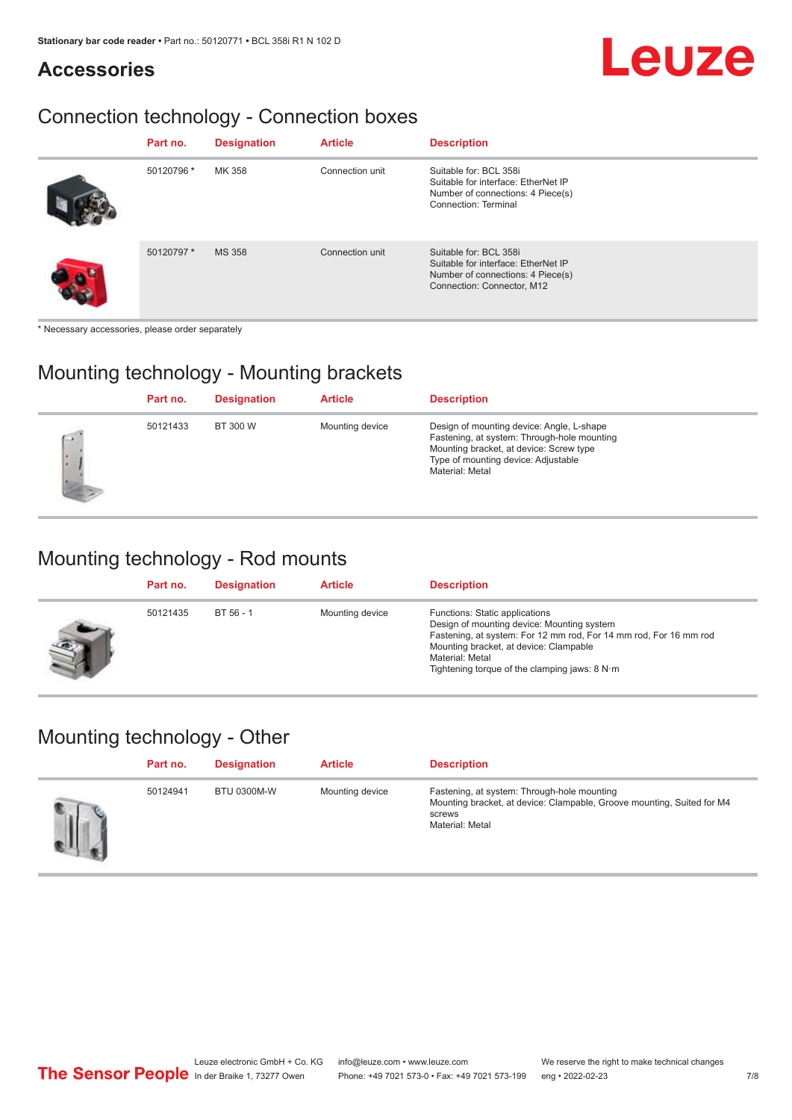## Leuze

#### **Accessories**

### Connection technology - Connection boxes

| Part no.   | <b>Designation</b> | <b>Article</b>  | <b>Description</b>                                                                                                               |
|------------|--------------------|-----------------|----------------------------------------------------------------------------------------------------------------------------------|
| 50120796 * | MK 358             | Connection unit | Suitable for: BCL 358i<br>Suitable for interface: EtherNet IP<br>Number of connections: 4 Piece(s)<br>Connection: Terminal       |
| 50120797 * | <b>MS 358</b>      | Connection unit | Suitable for: BCL 358i<br>Suitable for interface: EtherNet IP<br>Number of connections: 4 Piece(s)<br>Connection: Connector, M12 |

\* Necessary accessories, please order separately

#### Mounting technology - Mounting brackets

|     | Part no. | <b>Designation</b> | <b>Article</b>  | <b>Description</b>                                                                                                                                                                            |
|-----|----------|--------------------|-----------------|-----------------------------------------------------------------------------------------------------------------------------------------------------------------------------------------------|
| C.V | 50121433 | BT 300 W           | Mounting device | Design of mounting device: Angle, L-shape<br>Fastening, at system: Through-hole mounting<br>Mounting bracket, at device: Screw type<br>Type of mounting device: Adjustable<br>Material: Metal |

#### Mounting technology - Rod mounts

| Part no. | <b>Designation</b> | <b>Article</b>  | <b>Description</b>                                                                                                                                                                                                                                                |
|----------|--------------------|-----------------|-------------------------------------------------------------------------------------------------------------------------------------------------------------------------------------------------------------------------------------------------------------------|
| 50121435 | BT 56 - 1          | Mounting device | Functions: Static applications<br>Design of mounting device: Mounting system<br>Fastening, at system: For 12 mm rod, For 14 mm rod, For 16 mm rod<br>Mounting bracket, at device: Clampable<br>Material: Metal<br>Tightening torque of the clamping jaws: $8 N·m$ |

#### Mounting technology - Other

| Part no. | <b>Designation</b> | <b>Article</b>  | <b>Description</b>                                                                                                                                 |
|----------|--------------------|-----------------|----------------------------------------------------------------------------------------------------------------------------------------------------|
| 50124941 | <b>BTU 0300M-W</b> | Mounting device | Fastening, at system: Through-hole mounting<br>Mounting bracket, at device: Clampable, Groove mounting, Suited for M4<br>screws<br>Material: Metal |